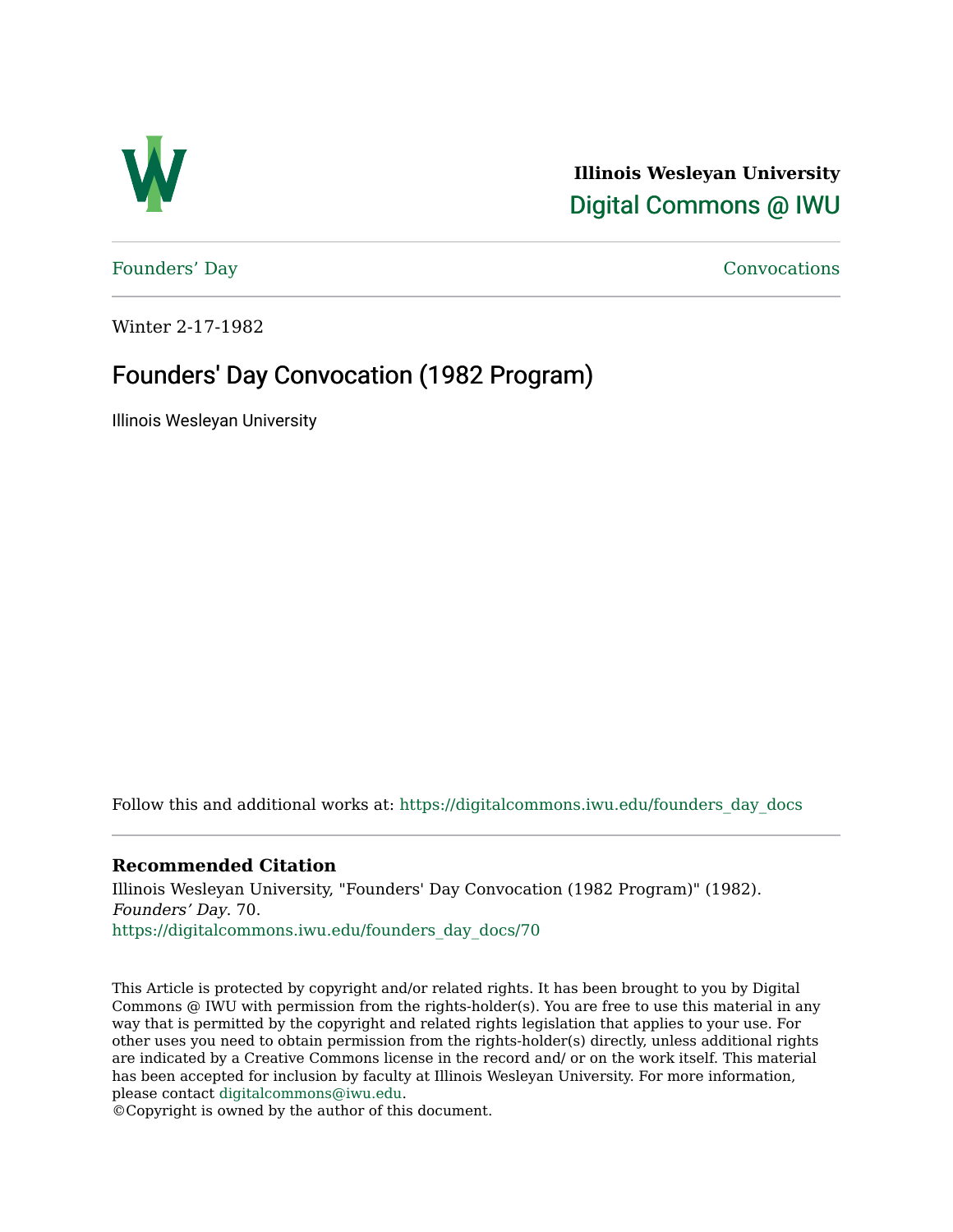

**Illinois Wesleyan University**  [Digital Commons @ IWU](https://digitalcommons.iwu.edu/) 

[Founders' Day](https://digitalcommons.iwu.edu/founders_day_docs) [Convocations](https://digitalcommons.iwu.edu/convocations_docs) 

Winter 2-17-1982

## Founders' Day Convocation (1982 Program)

Illinois Wesleyan University

Follow this and additional works at: [https://digitalcommons.iwu.edu/founders\\_day\\_docs](https://digitalcommons.iwu.edu/founders_day_docs?utm_source=digitalcommons.iwu.edu%2Ffounders_day_docs%2F70&utm_medium=PDF&utm_campaign=PDFCoverPages) 

### **Recommended Citation**

Illinois Wesleyan University, "Founders' Day Convocation (1982 Program)" (1982). Founders' Day. 70. [https://digitalcommons.iwu.edu/founders\\_day\\_docs/70](https://digitalcommons.iwu.edu/founders_day_docs/70?utm_source=digitalcommons.iwu.edu%2Ffounders_day_docs%2F70&utm_medium=PDF&utm_campaign=PDFCoverPages)

This Article is protected by copyright and/or related rights. It has been brought to you by Digital Commons @ IWU with permission from the rights-holder(s). You are free to use this material in any way that is permitted by the copyright and related rights legislation that applies to your use. For other uses you need to obtain permission from the rights-holder(s) directly, unless additional rights are indicated by a Creative Commons license in the record and/ or on the work itself. This material has been accepted for inclusion by faculty at Illinois Wesleyan University. For more information, please contact [digitalcommons@iwu.edu.](mailto:digitalcommons@iwu.edu)

©Copyright is owned by the author of this document.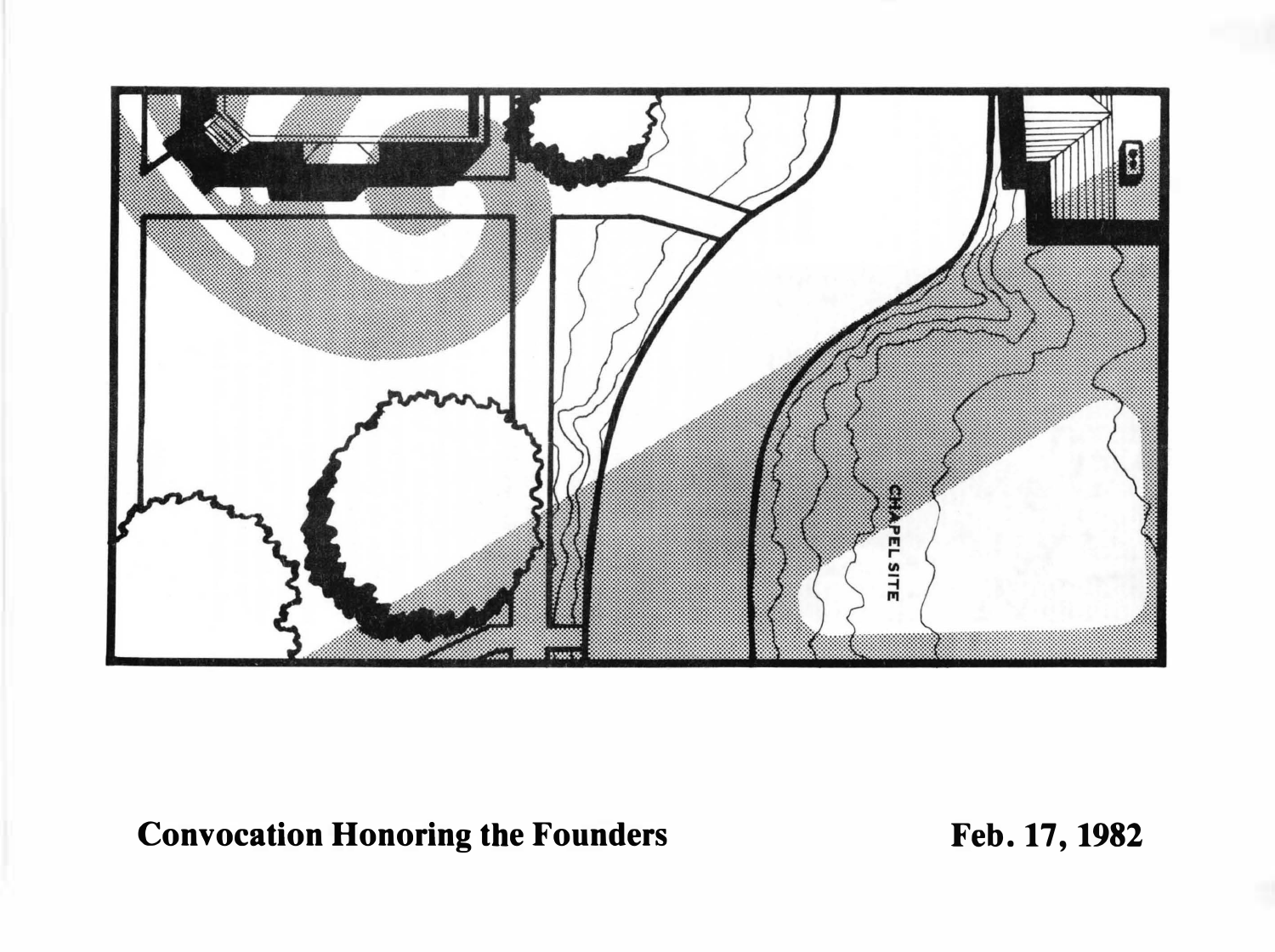

# Convocation Honoring the Founders Feb. 17, 1982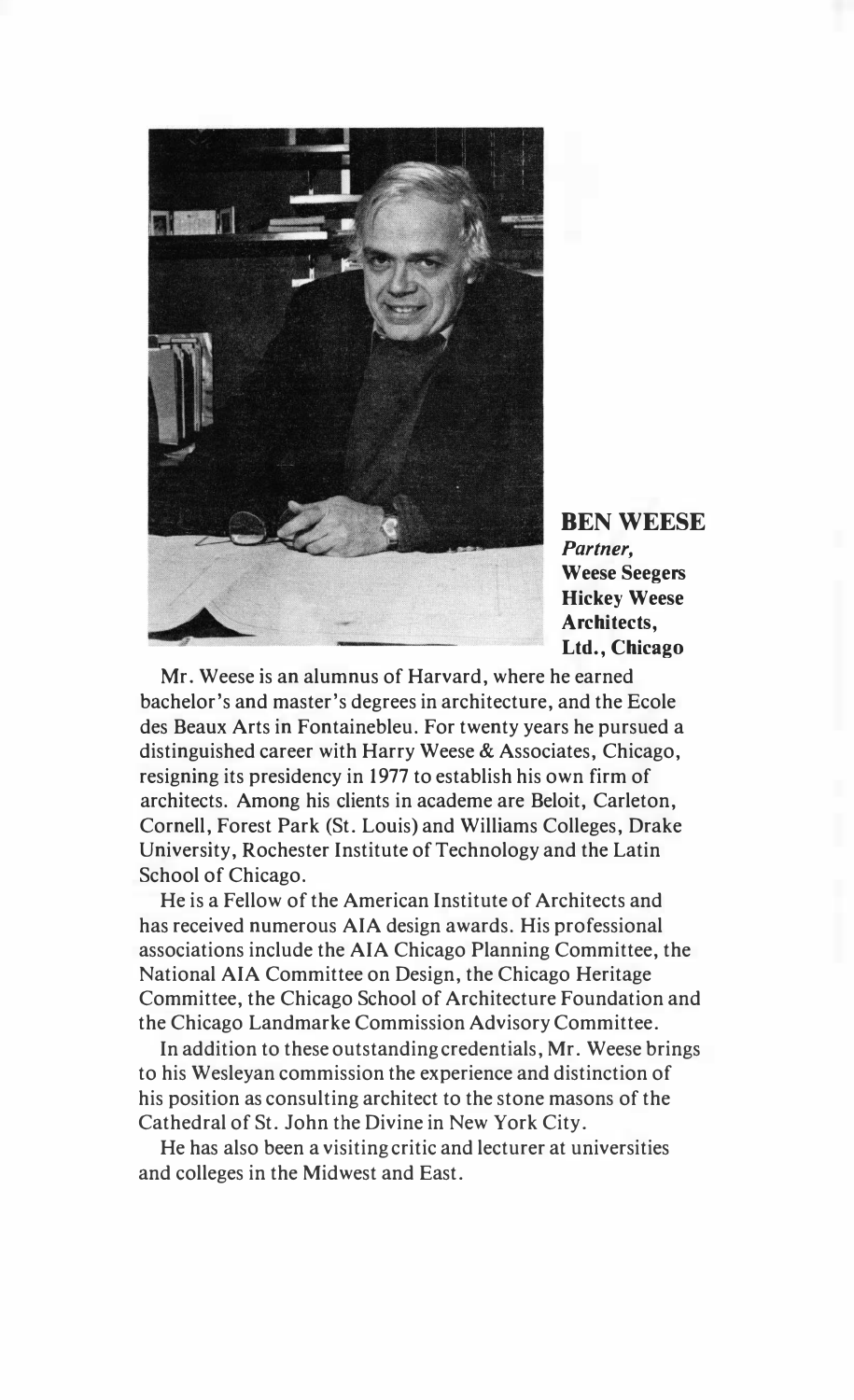

BEN WEESE Partner, Weese Seegers Hickey Weese Architects, Ltd., Chicago

Mr. Weese is an alumnus of Harvard, where he earned bachelor's and master's degrees in architecture, and the Ecole des Beaux Arts in Fontainebleu. For twenty years he pursued a distinguished career with Harry Weese & Associates, Chicago, resigning its presidency in 1977 to establish his own firm of architects. Among his clients in academe are Beloit, Carleton, Cornell, Forest Park (St. Louis) and Williams Colleges, Drake University, Rochester Institute of Technology and the Latin School of Chicago.

He is a Fellow of the American Institute of Architects and has received numerous AlA design awards. His professional associations include the AlA Chicago Planning Committee, the National AlA Committee on Design, the Chicago Heritage Committee, the Chicago School of Architecture Foundation and the Chicago Landmarke Commission Advisory Committee.

In addition to these outstanding credentials, Mr. Weese brings to his Wesleyan commission the experience and distinction of his position as consulting architect to the stone masons of the Cathedral of St. John the Divine in New York City.

He has also been a visiting critic and lecturer at universities and colleges in the Midwest and East.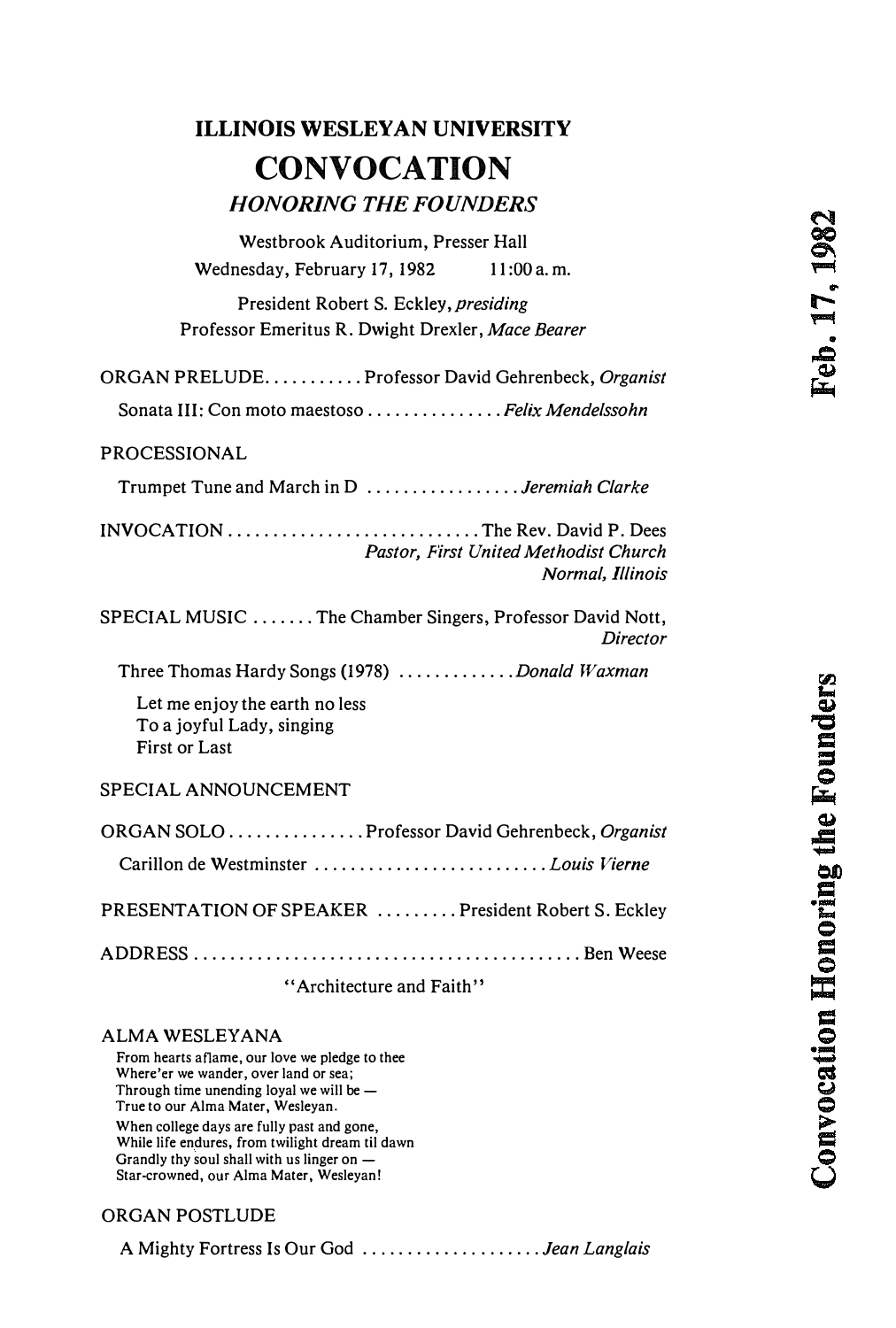Convocation Honoring the Founders

## ILLINOIS WESLEYAN UNIVERSITY **CONVOCATION** HONORING THE FOUNDERS

| Westbrook Auditorium, Presser Hall                                                                     |                                                           |
|--------------------------------------------------------------------------------------------------------|-----------------------------------------------------------|
| Wednesday, February 17, 1982                                                                           | 11:00a.m.                                                 |
| President Robert S. Eckley, presiding                                                                  |                                                           |
| Professor Emeritus R. Dwight Drexler, Mace Bearer                                                      |                                                           |
| ORGAN PRELUDE. Professor David Gehrenbeck, Organist<br>Sonata III: Con moto maestoso Felix Mendelssohn |                                                           |
|                                                                                                        |                                                           |
| <b>PROCESSIONAL</b>                                                                                    |                                                           |
| Trumpet Tune and March in D <i>Jeremiah Clarke</i>                                                     |                                                           |
|                                                                                                        | Pastor, First United Methodist Church<br>Normal, Illinois |
| SPECIAL MUSIC The Chamber Singers, Professor David Nott,                                               | Director                                                  |
| Three Thomas Hardy Songs (1978) Donald Waxman                                                          |                                                           |
| Let me enjoy the earth no less<br>To a joyful Lady, singing<br>First or Last                           |                                                           |
| SPECIAL ANNOUNCEMENT                                                                                   |                                                           |
| ORGAN SOLO  Professor David Gehrenbeck, Organist                                                       |                                                           |
| PRESENTATION OF SPEAKER President Robert S. Eckley                                                     |                                                           |
| "Architecture and Faith"                                                                               |                                                           |
| ALMA WESLEYANA                                                                                         |                                                           |

From hearts aflame, our love we pledge to thee Where'er we wander, over land or sea; Through time unending loyal we will be  $-$ True to our Alma Mater. Wesleyan. When college days are fully past and gone, While life endures, from twilight dream til dawn Grandly thy soul shall with us linger on -Star-crowned, our Alma Mater, Wesleyan!

#### ORGAN POSTLUDE

A Mighty Fortress Is Our God ...................*... Jean Langlais*